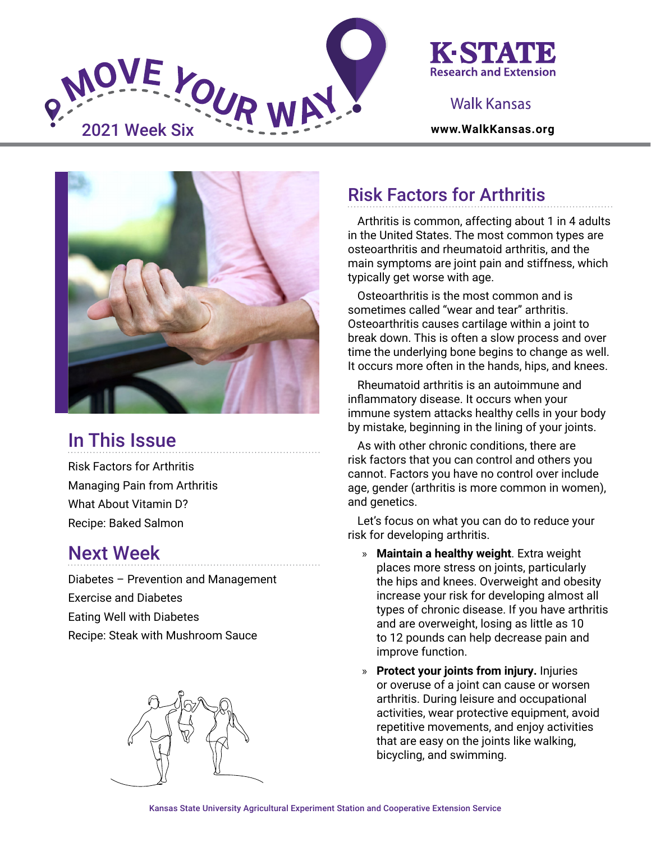

### K-STATI **Research and Extension**

### Walk Kansas



# In This Issue

Risk Factors for Arthritis Managing Pain from Arthritis What About Vitamin D? Recipe: Baked Salmon

### Next Week

Diabetes – Prevention and Management Exercise and Diabetes Eating Well with Diabetes Recipe: Steak with Mushroom Sauce



## Risk Factors for Arthritis

Arthritis is common, affecting about 1 in 4 adults in the United States. The most common types are osteoarthritis and rheumatoid arthritis, and the main symptoms are joint pain and stiffness, which typically get worse with age.

Osteoarthritis is the most common and is sometimes called "wear and tear" arthritis. Osteoarthritis causes cartilage within a joint to break down. This is often a slow process and over time the underlying bone begins to change as well. It occurs more often in the hands, hips, and knees.

Rheumatoid arthritis is an autoimmune and inflammatory disease. It occurs when your immune system attacks healthy cells in your body by mistake, beginning in the lining of your joints.

As with other chronic conditions, there are risk factors that you can control and others you cannot. Factors you have no control over include age, gender (arthritis is more common in women), and genetics.

Let's focus on what you can do to reduce your risk for developing arthritis.

- » **Maintain a healthy weight**. Extra weight places more stress on joints, particularly the hips and knees. Overweight and obesity increase your risk for developing almost all types of chronic disease. If you have arthritis and are overweight, losing as little as 10 to 12 pounds can help decrease pain and improve function.
- » **Protect your joints from injury.** Injuries or overuse of a joint can cause or worsen arthritis. During leisure and occupational activities, wear protective equipment, avoid repetitive movements, and enjoy activities that are easy on the joints like walking, bicycling, and swimming.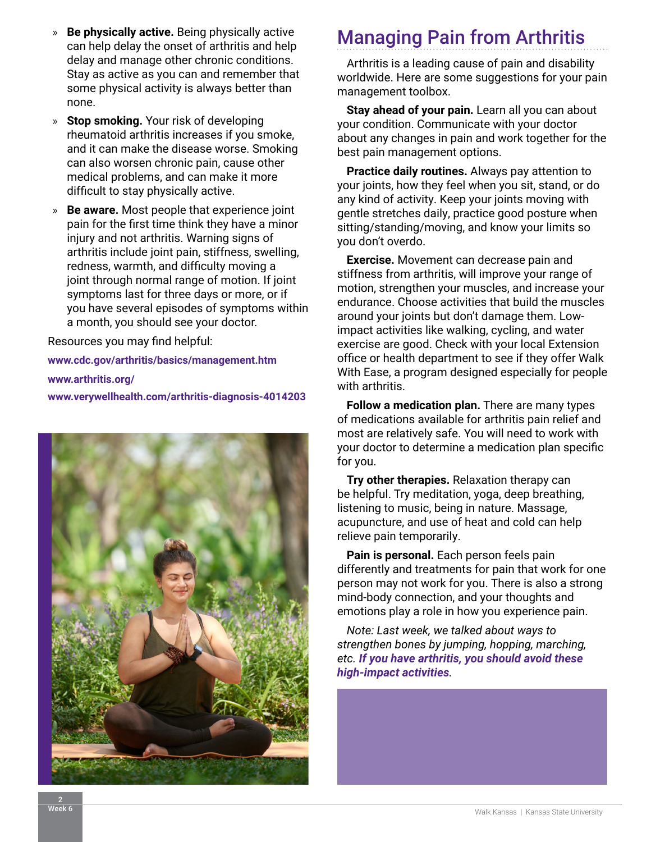- » **Be physically active.** Being physically active can help delay the onset of arthritis and help delay and manage other chronic conditions. Stay as active as you can and remember that some physical activity is always better than none.
- » **Stop smoking.** Your risk of developing rheumatoid arthritis increases if you smoke, and it can make the disease worse. Smoking can also worsen chronic pain, cause other medical problems, and can make it more difficult to stay physically active.
- » **Be aware.** Most people that experience joint pain for the first time think they have a minor injury and not arthritis. Warning signs of arthritis include joint pain, stiffness, swelling, redness, warmth, and difficulty moving a joint through normal range of motion. If joint symptoms last for three days or more, or if you have several episodes of symptoms within a month, you should see your doctor.

Resources you may find helpful:

**www[.cdc.gov/arthritis/basics/management.htm](https://www.cdc.gov/arthritis/basics/management.htm) [www.arthritis.org/](https://www.arthritis.org/) [www.verywellhealth.com/arthritis-diagnosis-4014203](https://www.verywellhealth.com/arthritis-diagnosis-4014203)**



# Managing Pain from Arthritis

Arthritis is a leading cause of pain and disability worldwide. Here are some suggestions for your pain management toolbox.

**Stay ahead of your pain.** Learn all you can about your condition. Communicate with your doctor about any changes in pain and work together for the best pain management options.

**Practice daily routines.** Always pay attention to your joints, how they feel when you sit, stand, or do any kind of activity. Keep your joints moving with gentle stretches daily, practice good posture when sitting/standing/moving, and know your limits so you don't overdo.

**Exercise.** Movement can decrease pain and stiffness from arthritis, will improve your range of motion, strengthen your muscles, and increase your endurance. Choose activities that build the muscles around your joints but don't damage them. Lowimpact activities like walking, cycling, and water exercise are good. Check with your local Extension office or health department to see if they offer Walk With Ease, a program designed especially for people with arthritis.

**Follow a medication plan.** There are many types of medications available for arthritis pain relief and most are relatively safe. You will need to work with your doctor to determine a medication plan specific for you.

**Try other therapies.** Relaxation therapy can be helpful. Try meditation, yoga, deep breathing, listening to music, being in nature. Massage, acupuncture, and use of heat and cold can help relieve pain temporarily.

**Pain is personal.** Each person feels pain differently and treatments for pain that work for one person may not work for you. There is also a strong mind-body connection, and your thoughts and emotions play a role in how you experience pain.

*Note: Last week, we talked about ways to strengthen bones by jumping, hopping, marching, etc. If you have arthritis, you should avoid these high-impact activities.*